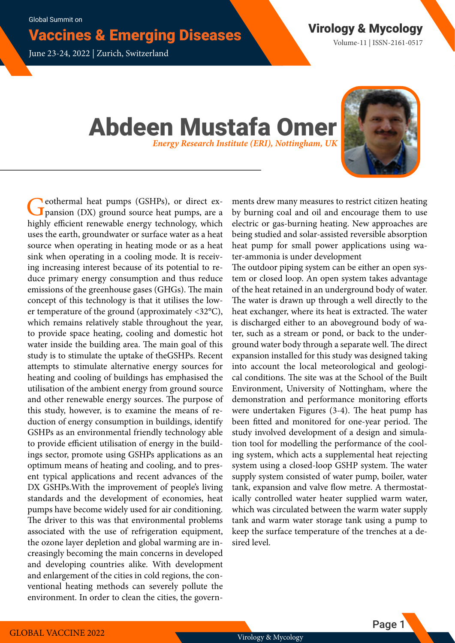# Vaccines & Emerging Diseases Virology & Mycology

June 23-24, 2022 | Zurich, Switzerland

Volume-11 | ISSN-2161-0517

## Abdeen Mustafa Omer *Energy Research Institute (ERI), Nottingham, UK*



Ceothermal heat pumps (GSHPs), or direct expansion (DX) ground source heat pumps, are a highly efficient renewable energy technology, which uses the earth, groundwater or surface water as a heat source when operating in heating mode or as a heat sink when operating in a cooling mode. It is receiving increasing interest because of its potential to reduce primary energy consumption and thus reduce emissions of the greenhouse gases (GHGs). The main concept of this technology is that it utilises the lower temperature of the ground (approximately <32°C), which remains relatively stable throughout the year, to provide space heating, cooling and domestic hot water inside the building area. The main goal of this study is to stimulate the uptake of theGSHPs. Recent attempts to stimulate alternative energy sources for heating and cooling of buildings has emphasised the utilisation of the ambient energy from ground source and other renewable energy sources. The purpose of this study, however, is to examine the means of reduction of energy consumption in buildings, identify GSHPs as an environmental friendly technology able to provide efficient utilisation of energy in the buildings sector, promote using GSHPs applications as an optimum means of heating and cooling, and to present typical applications and recent advances of the DX GSHPs.With the improvement of people's living standards and the development of economies, heat pumps have become widely used for air conditioning. The driver to this was that environmental problems associated with the use of refrigeration equipment, the ozone layer depletion and global warming are increasingly becoming the main concerns in developed and developing countries alike. With development and enlargement of the cities in cold regions, the conventional heating methods can severely pollute the environment. In order to clean the cities, the govern-

ments drew many measures to restrict citizen heating by burning coal and oil and encourage them to use electric or gas-burning heating. New approaches are being studied and solar-assisted reversible absorption heat pump for small power applications using water-ammonia is under development

The outdoor piping system can be either an open system or closed loop. An open system takes advantage of the heat retained in an underground body of water. The water is drawn up through a well directly to the heat exchanger, where its heat is extracted. The water is discharged either to an aboveground body of water, such as a stream or pond, or back to the underground water body through a separate well. The direct expansion installed for this study was designed taking into account the local meteorological and geological conditions. The site was at the School of the Built Environment, University of Nottingham, where the demonstration and performance monitoring efforts were undertaken Figures (3-4). The heat pump has been fitted and monitored for one-year period. The study involved development of a design and simulation tool for modelling the performance of the cooling system, which acts a supplemental heat rejecting system using a closed-loop GSHP system. The water supply system consisted of water pump, boiler, water tank, expansion and valve flow metre. A thermostatically controlled water heater supplied warm water, which was circulated between the warm water supply tank and warm water storage tank using a pump to keep the surface temperature of the trenches at a desired level.